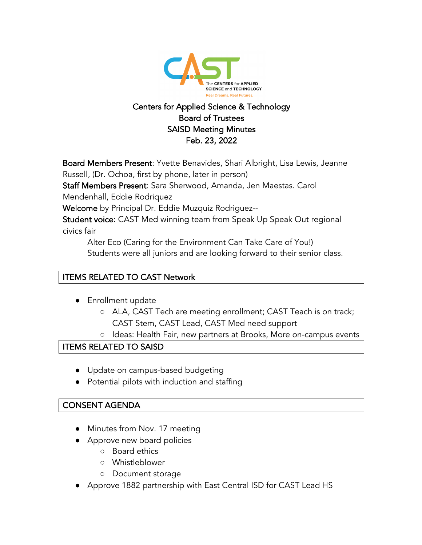

# Centers for Applied Science & Technology Board of Trustees SAISD Meeting Minutes Feb. 23, 2022

Board Members Present: Yvette Benavides, Shari Albright, Lisa Lewis, Jeanne Russell, (Dr. Ochoa, first by phone, later in person)

Staff Members Present: Sara Sherwood, Amanda, Jen Maestas. Carol

Mendenhall, Eddie Rodriquez

Welcome by Principal Dr. Eddie Muzquiz Rodriguez--

Student voice: CAST Med winning team from Speak Up Speak Out regional civics fair

Alter Eco (Caring for the Environment Can Take Care of You!) Students were all juniors and are looking forward to their senior class.

#### ITEMS RELATED TO CAST Network

- Enrollment update
	- ALA, CAST Tech are meeting enrollment; CAST Teach is on track; CAST Stem, CAST Lead, CAST Med need support
	- Ideas: Health Fair, new partners at Brooks, More on-campus events

#### ITEMS RELATED TO SAISD

- Update on campus-based budgeting
- Potential pilots with induction and staffing

#### CONSENT AGENDA

- Minutes from Nov. 17 meeting
- Approve new board policies
	- Board ethics
	- Whistleblower
	- Document storage
- Approve 1882 partnership with East Central ISD for CAST Lead HS